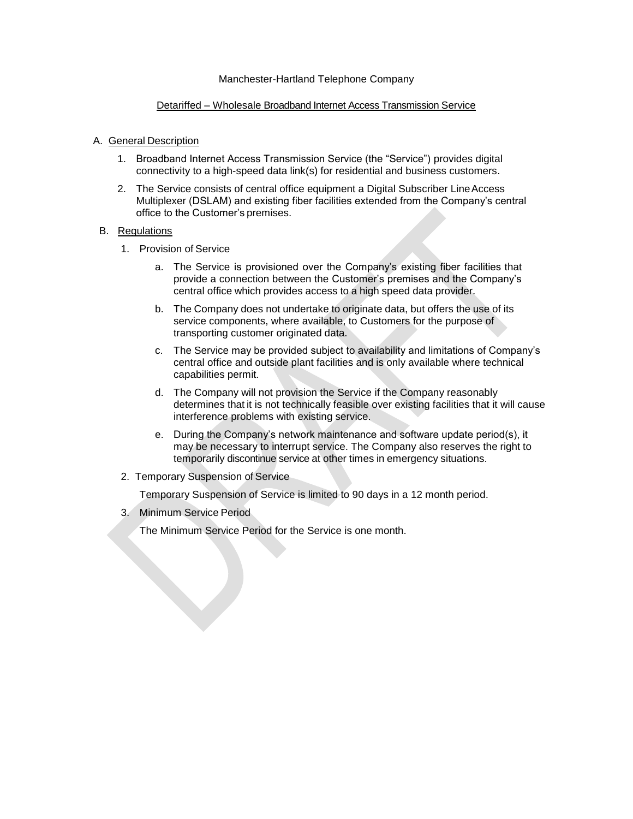### Manchester-Hartland Telephone Company

## Detariffed – Wholesale Broadband Internet Access Transmission Service

## A. General Description

- 1. Broadband Internet Access Transmission Service (the "Service") provides digital connectivity to a high-speed data link(s) for residential and business customers.
- 2. The Service consists of central office equipment a Digital Subscriber LineAccess Multiplexer (DSLAM) and existing fiber facilities extended from the Company's central office to the Customer's premises.

## B. Regulations

- 1. Provision of Service
	- a. The Service is provisioned over the Company's existing fiber facilities that provide a connection between the Customer's premises and the Company's central office which provides access to a high speed data provider.
	- b. The Company does not undertake to originate data, but offers the use of its service components, where available, to Customers for the purpose of transporting customer originated data.
	- c. The Service may be provided subject to availability and limitations of Company's central office and outside plant facilities and is only available where technical capabilities permit.
	- d. The Company will not provision the Service if the Company reasonably determines that it is not technically feasible over existing facilities that it will cause interference problems with existing service.
	- e. During the Company's network maintenance and software update period(s), it may be necessary to interrupt service. The Company also reserves the right to temporarily discontinue service at other times in emergency situations.
- 2. Temporary Suspension of Service

Temporary Suspension of Service is limited to 90 days in a 12 month period.

3. Minimum Service Period

The Minimum Service Period for the Service is one month.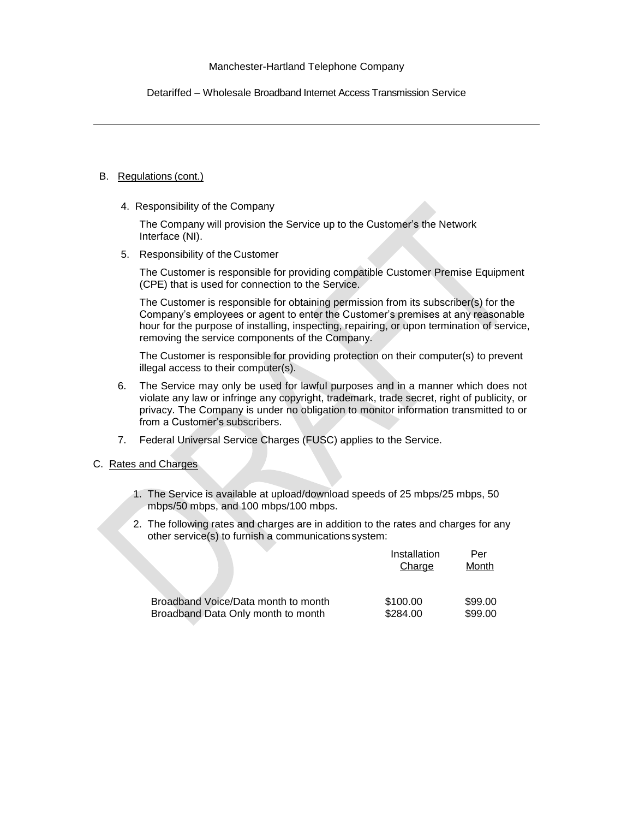Detariffed – Wholesale Broadband Internet Access Transmission Service

## B. Regulations (cont.)

4. Responsibility of the Company

The Company will provision the Service up to the Customer's the Network Interface (NI).

5. Responsibility of the Customer

The Customer is responsible for providing compatible Customer Premise Equipment (CPE) that is used for connection to the Service.

The Customer is responsible for obtaining permission from its subscriber(s) for the Company's employees or agent to enter the Customer's premises at any reasonable hour for the purpose of installing, inspecting, repairing, or upon termination of service, removing the service components of the Company.

The Customer is responsible for providing protection on their computer(s) to prevent illegal access to their computer(s).

- 6. The Service may only be used for lawful purposes and in a manner which does not violate any law or infringe any copyright, trademark, trade secret, right of publicity, or privacy. The Company is under no obligation to monitor information transmitted to or from a Customer's subscribers.
- 7. Federal Universal Service Charges (FUSC) applies to the Service.

# C. Rates and Charges

- 1. The Service is available at upload/download speeds of 25 mbps/25 mbps, 50 mbps/50 mbps, and 100 mbps/100 mbps.
- 2. The following rates and charges are in addition to the rates and charges for any other service(s) to furnish a communications system:

| Broadband Voice/Data month to month<br>Broadband Data Only month to month | Installation<br>Charge | Per<br>Month       |
|---------------------------------------------------------------------------|------------------------|--------------------|
|                                                                           | \$100.00<br>\$284.00   | \$99.00<br>\$99.00 |